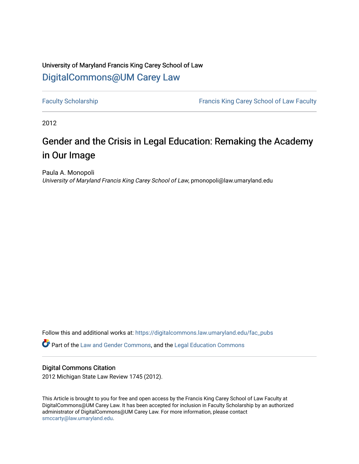# University of Maryland Francis King Carey School of Law [DigitalCommons@UM Carey Law](https://digitalcommons.law.umaryland.edu/)

[Faculty Scholarship](https://digitalcommons.law.umaryland.edu/fac_pubs) **Francis King Carey School of Law Faculty** 

2012

# Gender and the Crisis in Legal Education: Remaking the Academy in Our Image

Paula A. Monopoli University of Maryland Francis King Carey School of Law, pmonopoli@law.umaryland.edu

Follow this and additional works at: [https://digitalcommons.law.umaryland.edu/fac\\_pubs](https://digitalcommons.law.umaryland.edu/fac_pubs?utm_source=digitalcommons.law.umaryland.edu%2Ffac_pubs%2F1340&utm_medium=PDF&utm_campaign=PDFCoverPages) 

Part of the [Law and Gender Commons,](http://network.bepress.com/hgg/discipline/1298?utm_source=digitalcommons.law.umaryland.edu%2Ffac_pubs%2F1340&utm_medium=PDF&utm_campaign=PDFCoverPages) and the [Legal Education Commons](http://network.bepress.com/hgg/discipline/857?utm_source=digitalcommons.law.umaryland.edu%2Ffac_pubs%2F1340&utm_medium=PDF&utm_campaign=PDFCoverPages)

# Digital Commons Citation

2012 Michigan State Law Review 1745 (2012).

This Article is brought to you for free and open access by the Francis King Carey School of Law Faculty at DigitalCommons@UM Carey Law. It has been accepted for inclusion in Faculty Scholarship by an authorized administrator of DigitalCommons@UM Carey Law. For more information, please contact [smccarty@law.umaryland.edu](mailto:smccarty@law.umaryland.edu).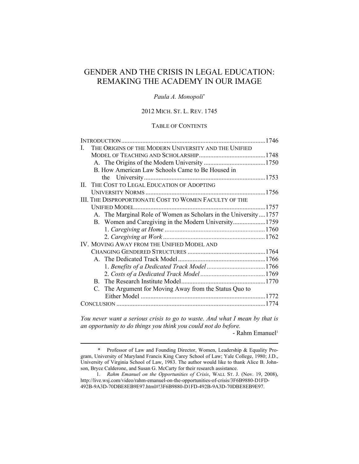# GENDER AND THE CRISIS IN LEGAL EDUCATION: REMAKING THE ACADEMY IN OUR IMAGE

# *Paula A. Monopoli*\*

# 2012 MICH. ST. L. REV. 1745

## TABLE OF CONTENTS

| THE ORIGINS OF THE MODERN UNIVERSITY AND THE UNIFIED            |      |
|-----------------------------------------------------------------|------|
|                                                                 |      |
|                                                                 |      |
| B. How American Law Schools Came to Be Housed in                |      |
|                                                                 |      |
| THE COST TO LEGAL EDUCATION OF ADOPTING<br>H.                   |      |
|                                                                 |      |
| III. THE DISPROPORTIONATE COST TO WOMEN FACULTY OF THE          |      |
|                                                                 | 1757 |
| A. The Marginal Role of Women as Scholars in the University1757 |      |
|                                                                 |      |
|                                                                 |      |
|                                                                 |      |
| IV. MOVING AWAY FROM THE UNIFIED MODEL AND                      |      |
|                                                                 |      |
|                                                                 |      |
|                                                                 |      |
|                                                                 |      |
|                                                                 |      |
| C. The Argument for Moving Away from the Status Quo to          |      |
|                                                                 |      |
|                                                                 |      |
|                                                                 |      |

*You never want a serious crisis to go to waste. And what I mean by that is an opportunity to do things you think you could not do before.* 

l

 $-$  Rahm Emanuel<sup>1</sup>

 <sup>\*</sup> Professor of Law and Founding Director, Women, Leadership & Equality Program, University of Maryland Francis King Carey School of Law; Yale College, 1980; J.D., University of Virginia School of Law, 1983. The author would like to thank Alice B. Johnson, Bryce Calderone, and Susan G. McCarty for their research assistance.

 <sup>1.</sup> *Rahm Emanuel on the Opportunities of Crisis*, WALL ST. J. (Nov. 19, 2008), http://live.wsj.com/video/rahm-emanuel-on-the-opportunities-of-crisis/3F6B9880-D1FD-492B-9A3D-70DBE8EB9E97.html#!3F6B9880-D1FD-492B-9A3D-70DBE8EB9E97.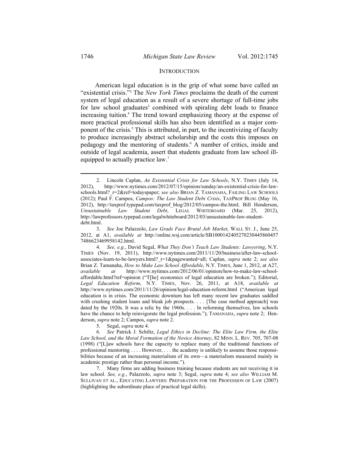#### **INTRODUCTION**

American legal education is in the grip of what some have called an "existential crisis."2 The *New York Times* proclaims the death of the current system of legal education as a result of a severe shortage of full-time jobs for law school graduates<sup>3</sup> combined with spiraling debt loads to finance increasing tuition.<sup>4</sup> The trend toward emphasizing theory at the expense of more practical professional skills has also been identified as a major component of the crisis.<sup>5</sup> This is attributed, in part, to the incentivizing of faculty to produce increasingly abstract scholarship and the costs this imposes on pedagogy and the mentoring of students.<sup>6</sup> A number of critics, inside and outside of legal academia, assert that students graduate from law school illequipped to actually practice law.<sup>7</sup>

 <sup>2.</sup> Lincoln Caplan, *An Existential Crisis for Law Schools*, N.Y. TIMES (July 14, 2012), http://www.nytimes.com/2012/07/15/opinion/sunday/an-existential-crisis-for-lawschools.html? r=2&ref=todayspaper; see also BRIAN Z. TAMANAHA, FAILING LAW SCHOOLS (2012); Paul F. Campos, *Campos: The Law Student Debt Crisis*, TAXPROF BLOG (May 16, 2012), http://taxprof.typepad.com/taxprof\_blog/2012/05/campos-the.html; Bill Henderson, *Unsustainable Law Student Debt*, LEGAL WHITEBOARD (Mar. 25, 2012), http://lawprofessors.typepad.com/legalwhiteboard/2012/03/unsustainable-law-studentdebt.html.

 <sup>3.</sup> *See* Joe Palazzolo, *Law Grads Face Brutal Job Market*, WALL ST. J., June 25, 2012, at A1, *available at* http://online.wsj.com/article/SB1000142405270230445860457 7486623469958142.html.

 <sup>4.</sup> *See, e.g.*, David Segal, *What They Don't Teach Law Students: Lawyering*, N.Y. TIMES (Nov. 19, 2011), http://www.nytimes.com/2011/11/20/business/after-law-schoolassociates-learn-to-be-lawyers.html?\_r=1&pagewanted=all; Caplan, *supra* note 2; *see also*  Brian Z. Tamanaha, *How to Make Law School Affordable*, N.Y. TIMES, June 1, 2012, at A27, *available at* http://www.nytimes.com/2012/06/01/opinion/how-to-make-law-schoolaffordable.html?ref=opinion ("T[he] economics of legal education are broken."); Editorial, *Legal Education Reform*, N.Y. TIMES, Nov. 26, 2011, at A18, *available at* http://www.nytimes.com/2011/11/26/opinion/legal-education-reform.html ("American legal education is in crisis. The economic downturn has left many recent law graduates saddled with crushing student loans and bleak job prospects. . . . [The case method approach] was dated by the 1920s. It was a relic by the 1960s. . . . In reforming themselves, law schools have the chance to help reinvigorate the legal profession."); TAMANAHA, *supra* note 2; Henderson, *supra* note 2; Campos, *supra* note 2.

 <sup>5.</sup> Segal, *supra* note 4.

 <sup>6.</sup> *See* Patrick J. Schiltz, *Legal Ethics in Decline: The Elite Law Firm, the Elite Law School, and the Moral Formation of the Novice Attorney*, 82 MINN. L. REV. 705, 707-08 (1998) ("[L]aw schools have the capacity to replace many of the traditional functions of professional mentoring . . . . However, . . . the academy is unlikely to assume those responsibilities because of an increasing materialism of its own—a materialism measured mainly in academic prestige rather than personal income.").

 <sup>7.</sup> Many firms are adding business training because students are not receiving it in law school. *See, e.g.*, Palazzolo, *supra* note 3; Segal, *supra* note 4; *see also* WILLIAM M. SULLIVAN ET AL., EDUCATING LAWYERS: PREPARATION FOR THE PROFESSION OF LAW (2007) (highlighting the subordinate place of practical legal skills).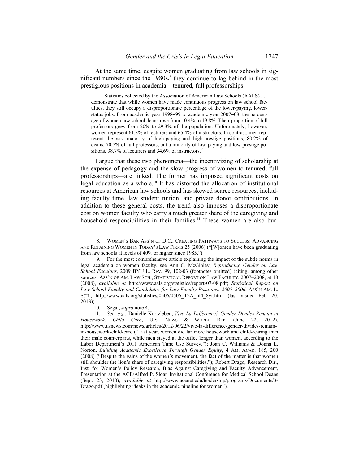At the same time, despite women graduating from law schools in significant numbers since the  $1980s$ ,<sup>8</sup> they continue to lag behind in the most prestigious positions in academia—tenured, full professorships:

Statistics collected by the Association of American Law Schools (AALS) . . . demonstrate that while women have made continuous progress on law school faculties, they still occupy a disproportionate percentage of the lower-paying, lowerstatus jobs. From academic year 1998−99 to academic year 2007−08, the percentage of women law school deans rose from 10.4% to 19.8%. Their proportion of full professors grew from 20% to 29.3% of the population. Unfortunately, however, women represent 61.3% of lecturers and 65.4% of instructors. In contrast, men represent the vast majority of high-paying and high-prestige positions, 80.2% of deans, 70.7% of full professors, but a minority of low-paying and low-prestige positions, 38.7% of lecturers and 34.6% of instructors.<sup>9</sup>

I argue that these two phenomena—the incentivizing of scholarship at the expense of pedagogy and the slow progress of women to tenured, full professorships—are linked. The former has imposed significant costs on legal education as a whole.10 It has distorted the allocation of institutional resources at American law schools and has skewed scarce resources, including faculty time, law student tuition, and private donor contributions. In addition to these general costs, the trend also imposes a disproportionate cost on women faculty who carry a much greater share of the caregiving and household responsibilities in their families.<sup>11</sup> These women are also bur-

 <sup>8.</sup> WOMEN'S BAR ASS'N OF D.C., CREATING PATHWAYS TO SUCCESS: ADVANCING AND RETAINING WOMEN IN TODAY'S LAW FIRMS 25 (2006) ("[W]omen have been graduating from law schools at levels of 40% or higher since 1985.").

 <sup>9.</sup> For the most comprehensive article explaining the impact of the subtle norms in legal academia on women faculty, see Ann C. McGinley, *Reproducing Gender on Law School Faculties*, 2009 BYU L. REV. 99, 102-03 (footnotes omitted) (citing, among other sources, ASS'N OF AM. LAW SCH., STATISTICAL REPORT ON LAW FACULTY: 2007–2008, at 18 (2008), *available at* http://www.aals.org/statistics/report-07-08.pdf; *Statistical Report on*  Law School Faculty and Candidates for Law Faculty Positions: 2005–2006, ASS'N AM. L. SCH., http://www.aals.org/statistics/0506/0506\_T2A\_tit4\_8yr.html (last visited Feb. 20, 2013)).

 <sup>10.</sup> Segal, *supra* note 4.

 <sup>11.</sup> *See, e.g.*, Danielle Kurtzleben, *Vive La Difference? Gender Divides Remain in Housework, Child Care*, U.S. NEWS & WORLD REP. (June 22, 2012), http://www.usnews.com/news/articles/2012/06/22/vive-la-difference-gender-divides-remainin-housework-child-care ("Last year, women did far more housework and child-rearing than their male counterparts, while men stayed at the office longer than women, according to the Labor Department's 2011 American Time Use Survey."); Joan C. Williams & Donna L. Norton, *Building Academic Excellence Through Gender Equity*, 4 AM. ACAD. 185, 200 (2008) ("Despite the gains of the women's movement, the fact of the matter is that women still shoulder the lion's share of caregiving responsibilities."); Robert Drago, Research Dir., Inst. for Women's Policy Research, Bias Against Caregiving and Faculty Advancement, Presentation at the ACE/Alfred P. Sloan Invitational Conference for Medical School Deans (Sept. 23, 2010), *available at* http://www.acenet.edu/leadership/programs/Documents/3- Drago.pdf (highlighting "leaks in the academic pipeline for women").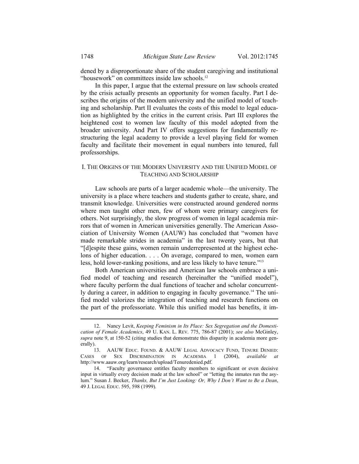dened by a disproportionate share of the student caregiving and institutional "housework" on committees inside law schools.<sup>12</sup>

In this paper, I argue that the external pressure on law schools created by the crisis actually presents an opportunity for women faculty. Part I describes the origins of the modern university and the unified model of teaching and scholarship. Part II evaluates the costs of this model to legal education as highlighted by the critics in the current crisis. Part III explores the heightened cost to women law faculty of this model adopted from the broader university. And Part IV offers suggestions for fundamentally restructuring the legal academy to provide a level playing field for women faculty and facilitate their movement in equal numbers into tenured, full professorships.

#### I. THE ORIGINS OF THE MODERN UNIVERSITY AND THE UNIFIED MODEL OF TEACHING AND SCHOLARSHIP

Law schools are parts of a larger academic whole—the university. The university is a place where teachers and students gather to create, share, and transmit knowledge. Universities were constructed around gendered norms where men taught other men, few of whom were primary caregivers for others. Not surprisingly, the slow progress of women in legal academia mirrors that of women in American universities generally. The American Association of University Women (AAUW) has concluded that "women have made remarkable strides in academia" in the last twenty years, but that "[d]espite these gains, women remain underrepresented at the highest echelons of higher education. . . . On average, compared to men, women earn less, hold lower-ranking positions, and are less likely to have tenure."13

Both American universities and American law schools embrace a unified model of teaching and research (hereinafter the "unified model"), where faculty perform the dual functions of teacher and scholar concurrently during a career, in addition to engaging in faculty governance.14 The unified model valorizes the integration of teaching and research functions on the part of the professoriate. While this unified model has benefits, it im-

 <sup>12.</sup> Nancy Levit, *Keeping Feminism in Its Place: Sex Segregation and the Domestication of Female Academics*, 49 U. KAN. L. REV. 775, 786-87 (2001); *see also* McGinley, *supra* note 9, at 150-52 (citing studies that demonstrate this disparity in academia more generally).

 <sup>13.</sup> AAUW EDUC. FOUND. & AAUW LEGAL ADVOCACY FUND, TENURE DENIED: CASES OF SEX DISCRIMINATION IN ACADEMIA 1 (2004), *available at* http://www.aauw.org/learn/research/upload/Tenuredenied.pdf.

 <sup>14. &</sup>quot;Faculty governance entitles faculty members to significant or even decisive input in virtually every decision made at the law school" or "letting the inmates run the asylum." Susan J. Becker, *Thanks, But I'm Just Looking: Or, Why I Don't Want to Be a Dean*, 49 J. LEGAL EDUC. 595, 598 (1999).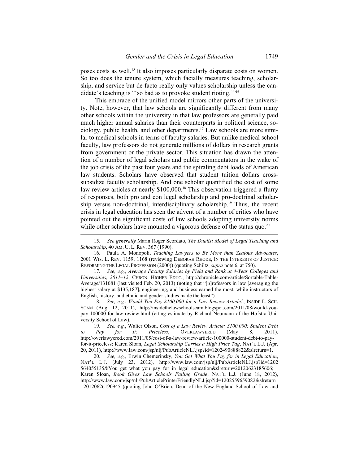poses costs as well.15 It also imposes particularly disparate costs on women. So too does the tenure system, which facially measures teaching, scholarship, and service but de facto really only values scholarship unless the candidate's teaching is "'so bad as to provoke student rioting.'"<sup>16</sup>

This embrace of the unified model mirrors other parts of the university. Note, however, that law schools are significantly different from many other schools within the university in that law professors are generally paid much higher annual salaries than their counterparts in political science, sociology, public health, and other departments.17 Law schools are more similar to medical schools in terms of faculty salaries. But unlike medical school faculty, law professors do not generate millions of dollars in research grants from government or the private sector. This situation has drawn the attention of a number of legal scholars and public commentators in the wake of the job crisis of the past four years and the spiraling debt loads of American law students. Scholars have observed that student tuition dollars crosssubsidize faculty scholarship. And one scholar quantified the cost of some law review articles at nearly \$100,000.<sup>18</sup> This observation triggered a flurry of responses, both pro and con legal scholarship and pro-doctrinal scholarship versus non-doctrinal, interdisciplinary scholarship.19 Thus, the recent crisis in legal education has seen the advent of a number of critics who have pointed out the significant costs of law schools adopting university norms while other scholars have mounted a vigorous defense of the status quo.<sup>20</sup>

 17*. See, e.g.*, *Average Faculty Salaries by Field and Rank at 4-Year Colleges and Universities, 2011–12*, CHRON. HIGHER EDUC., http://chronicle.com/article/Sortable-Table-Average/131081 (last visited Feb. 20, 2013) (noting that "[p]rofessors in law [averaging the highest salary at \$135,187], engineering, and business earned the most, while instructors of English, history, and ethnic and gender studies made the least").

 18. *See, e.g.*, *Would You Pay \$100,000 for a Law Review Article?*, INSIDE L. SCH. SCAM (Aug. 12, 2011), http://insidethelawschoolscam.blogspot.com/2011/08/would-youpay-100000-for-law-review.html (citing estimate by Richard Neumann of the Hofstra University School of Law).

 19. *See, e.g.*, Walter Olson, *Cost of a Law Review Article: \$100,000; Student Debt to Pay for It: Priceless*, OVERLAWYERED (May 8, 2011), http://overlawyered.com/2011/05/cost-of-a-law-review-article-100000-student-debt-to-payfor-it-priceless; Karen Sloan, *Legal Scholarship Carries a High Price Tag*, NAT'L L.J. (Apr. 20, 2011), http://www.law.com/jsp/nlj/PubArticleNLJ.jsp?id=1202490888822&slreturn=1.

 20. *See, e.g.*, Erwin Chemerinsky, *You Get What You Pay for in Legal Education*, NAT'L L.J. (July 23, 2012), http://www.law.com/jsp/nlj/PubArticleNLJ.jsp?id=1202 564055135&You\_get\_what\_you\_pay\_for\_in\_legal\_education&slreturn=20120623185606; Karen Sloan, *Book Gives Law Schools Failing Grade*, NAT'L L.J. (June 18, 2012), http://www.law.com/jsp/nlj/PubArticlePrinterFriendlyNLJ.jsp?id=1202559659082&slreturn =20120626190945 (quoting John O'Brien, Dean of the New England School of Law and

<sup>15.</sup> *See generally* Marin Roger Scordato, *The Dualist Model of Legal Teaching and Scholarship*, 40 AM. U. L. REV. 367 (1990).

 <sup>16.</sup> Paula A. Monopoli, *Teaching Lawyers to Be More than Zealous Advocates*, 2001 WIS. L. REV. 1159, 1168 (reviewing DEBORAH RHODE, IN THE INTERESTS OF JUSTICE: REFORMING THE LEGAL PROFESSION (2000)) (quoting Schiltz, *supra* note 6, at 750).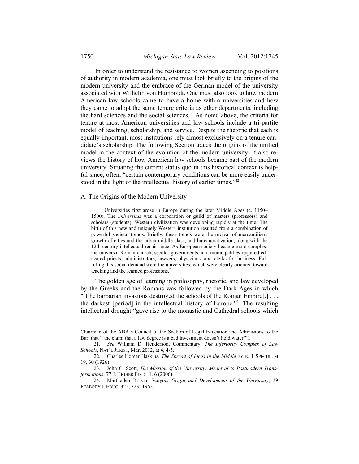In order to understand the resistance to women ascending to positions of authority in modern academia, one must look briefly to the origins of the modern university and the embrace of the German model of the university associated with Wilhelm von Humboldt. One must also look to how modern American law schools came to have a home within universities and how they came to adopt the same tenure criteria as other departments, including the hard sciences and the social sciences.<sup>21</sup> As noted above, the criteria for tenure at most American universities and law schools include a tri-partite model of teaching, scholarship, and service. Despite the rhetoric that each is equally important, most institutions rely almost exclusively on a tenure candidate's scholarship. The following Section traces the origins of the unified model in the context of the evolution of the modern university. It also reviews the history of how American law schools became part of the modern university. Situating the current status quo in this historical context is helpful since, often, "certain contemporary conditions can be more easily understood in the light of the intellectual history of earlier times."<sup>22</sup>

#### A. The Origins of the Modern University

Universities first arose in Europe during the later Middle Ages (c. 1150– 1500). The *universitas* was a corporation or guild of masters (professors) and scholars (students). Western civilization was developing rapidly at the time. The birth of this new and uniquely Western institution resulted from a combination of powerful societal trends. Briefly, these trends were the revival of mercantilism, growth of cities and the urban middle class, and bureaucratization, along with the 12th-century intellectual renaissance. As European society became more complex, the universal Roman church, secular governments, and municipalities required educated priests, administrators, lawyers, physicians, and clerks for business. Fulfilling this social demand were the universities, which were clearly oriented toward teaching and the learned professions.<sup>23</sup>

The golden age of learning in philosophy, rhetoric, and law developed by the Greeks and the Romans was followed by the Dark Ages in which "[t]he barbarian invasions destroyed the schools of the Roman Empire[,] . . . the darkest [period] in the intellectual history of Europe."24 The resulting intellectual drought "gave rise to the monastic and Cathedral schools which

Chairman of the ABA's Council of the Section of Legal Education and Admissions to the Bar, that "'the claim that a law degree is a bad investment doesn't hold water'").

<sup>21.</sup> *See* William D. Henderson, Commentary, *The Inferiority Complex of Law Schools*, NAT'L JURIST, Mar. 2012, at 4, 4-5.

 <sup>22.</sup> Charles Homer Haskins, *The Spread of Ideas in the Middle Ages*, 1 SPECULUM 19, 30 (1926).

 <sup>23.</sup> John C. Scott, *The Mission of the University: Medieval to Postmodern Transformations*, 77 J. HIGHER EDUC. 1, 6 (2006).

 <sup>24.</sup> Marthellen R. van Scoyoc, *Origin and Development of the University*, 39 PEABODY J. EDUC. 322, 323 (1962).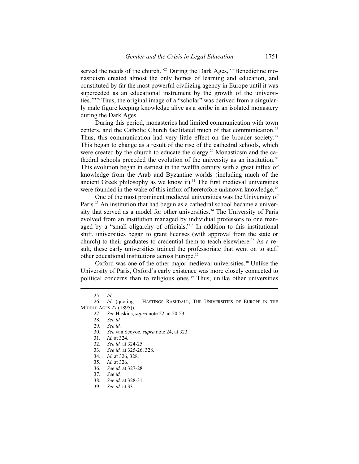served the needs of the church."<sup>25</sup> During the Dark Ages, "'Benedictine monasticism created almost the only homes of learning and education, and constituted by far the most powerful civilizing agency in Europe until it was superceded as an educational instrument by the growth of the universities.'"26 Thus, the original image of a "scholar" was derived from a singularly male figure keeping knowledge alive as a scribe in an isolated monastery during the Dark Ages.

During this period, monasteries had limited communication with town centers, and the Catholic Church facilitated much of that communication.<sup>27</sup> Thus, this communication had very little effect on the broader society.<sup>28</sup> This began to change as a result of the rise of the cathedral schools, which were created by the church to educate the clergy.<sup>29</sup> Monasticsm and the cathedral schools preceded the evolution of the university as an institution.<sup>30</sup> This evolution began in earnest in the twelfth century with a great influx of knowledge from the Arab and Byzantine worlds (including much of the ancient Greek philosophy as we know it). $31$  The first medieval universities were founded in the wake of this influx of heretofore unknown knowledge.<sup>32</sup>

One of the most prominent medieval universities was the University of Paris.<sup>33</sup> An institution that had begun as a cathedral school became a university that served as a model for other universities.<sup>34</sup> The University of Paris evolved from an institution managed by individual professors to one managed by a "small oligarchy of officials."<sup>35</sup> In addition to this institutional shift, universities began to grant licenses (with approval from the state or church) to their graduates to credential them to teach elsewhere.<sup>36</sup> As a result, these early universities trained the professoriate that went on to staff other educational institutions across Europe.37

Oxford was one of the other major medieval universities.<sup>38</sup> Unlike the University of Paris, Oxford's early existence was more closely connected to political concerns than to religious ones.<sup>39</sup> Thus, unlike other universities

l

30. *See* van Scoyoc, *supra* note 24, at 323.

- 37. *See id.*
- 38. *See id.* at 328-31.
- 39. *See id.* at 331.

 <sup>25.</sup> *Id.*

<sup>26.</sup> *Id.* (quoting 1 HASTINGS RASHDALL, THE UNIVERSITIES OF EUROPE IN THE MIDDLE AGES 27 (1895)).

 <sup>27.</sup> *See* Haskins, *supra* note 22, at 20-23.

 <sup>28.</sup> *See id.*

See id.

 <sup>31.</sup> *Id.* at 324.

 <sup>32.</sup> *See id.* at 324-25.

 <sup>33.</sup> *See id.* at 325-26, 328.

 <sup>34.</sup> *Id.* at 326, 328.

 <sup>35.</sup> *Id.* at 326.

 <sup>36.</sup> *See id.* at 327-28.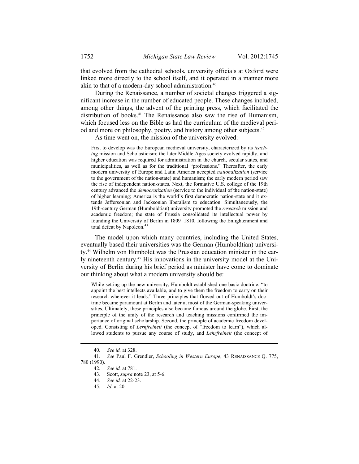that evolved from the cathedral schools, university officials at Oxford were linked more directly to the school itself, and it operated in a manner more akin to that of a modern-day school administration.<sup>40</sup>

During the Renaissance, a number of societal changes triggered a significant increase in the number of educated people. These changes included, among other things, the advent of the printing press, which facilitated the distribution of books.<sup>41</sup> The Renaissance also saw the rise of Humanism, which focused less on the Bible as had the curriculum of the medieval period and more on philosophy, poetry, and history among other subjects.42

As time went on, the mission of the university evolved:

First to develop was the European medieval university, characterized by its *teaching* mission and Scholasticism; the later Middle Ages society evolved rapidly, and higher education was required for administration in the church, secular states, and municipalities, as well as for the traditional "professions." Thereafter, the early modern university of Europe and Latin America accepted *nationalization* (service to the government of the nation-state) and humanism; the early modern period saw the rise of independent nation-states. Next, the formative U.S. college of the 19th century advanced the *democratization* (service to the individual of the nation-state) of higher learning; America is the world's first democratic nation-state and it extends Jeffersonian and Jacksonian liberalism to education. Simultaneously, the 19th-century German (Humboldtian) university promoted the *research* mission and academic freedom; the state of Prussia consolidated its intellectual power by founding the University of Berlin in 1809−1810, following the Enlightenment and total defeat by Napoleon.<sup>4</sup>

The model upon which many countries, including the United States, eventually based their universities was the German (Humboldtian) university.44 Wilhelm von Humboldt was the Prussian education minister in the early nineteenth century.45 His innovations in the university model at the University of Berlin during his brief period as minister have come to dominate our thinking about what a modern university should be:

While setting up the new university, Humboldt established one basic doctrine: "to appoint the best intellects available, and to give them the freedom to carry on their research wherever it leads." Three principles that flowed out of Humboldt's doctrine became paramount at Berlin and later at most of the German-speaking universities. Ultimately, these principles also became famous around the globe. First, the principle of the unity of the research and teaching missions confirmed the importance of original scholarship. Second, the principle of academic freedom developed. Consisting of *Lernfreiheit* (the concept of "freedom to learn"), which allowed students to pursue any course of study, and *Lehrfreiheit* (the concept of

 <sup>40.</sup> *See id.* at 328.

 <sup>41.</sup> *See* Paul F. Grendler, *Schooling in Western Europe*, 43 RENAISSANCE Q. 775, 780 (1990).

<sup>42.</sup> *See id.* at 781.

 <sup>43.</sup> Scott, *supra* note 23, at 5-6.

 <sup>44.</sup> *See id.* at 22-23.

 <sup>45.</sup> *Id.* at 20.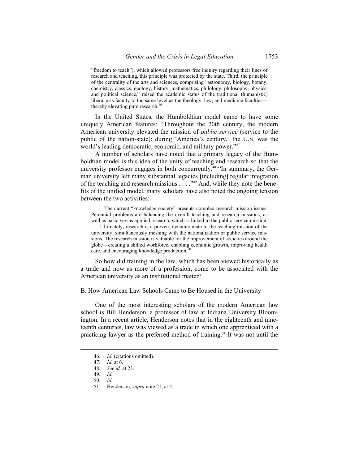"freedom to teach"), which allowed professors free inquiry regarding their lines of research and teaching, this principle was protected by the state. Third, the principle of the centrality of the arts and sciences, comprising "astronomy, biology, botany, chemistry, classics, geology, history, mathematics, philology, philosophy, physics, and political science," raised the academic status of the traditional (humanistic) liberal arts faculty to the same level as the theology, law, and medicine faculties thereby elevating pure research.<sup>46</sup>

In the United States, the Humboldtian model came to have some uniquely American features: "Throughout the 20th century, the modern American university elevated the mission of *public service* (service to the public of the nation-state); during 'America's century,' the U.S. was the world's leading democratic, economic, and military power."<sup>47</sup>

A number of scholars have noted that a primary legacy of the Humboldtian model is this idea of the unity of teaching and research so that the university professor engages in both concurrently.<sup>48</sup> "In summary, the German university left many substantial legacies [including] regular integration of the teaching and research missions . . . ."49 And, while they note the benefits of the unified model, many scholars have also noted the ongoing tension between the two activities:

The current "knowledge society" presents complex research mission issues. Perennial problems are balancing the overall teaching and research missions, as well as basic versus applied research, which is linked to the public service mission. . . . Ultimately, research is a proven, dynamic mate to the teaching mission of the university, simultaneously meshing with the nationalization or public service missions. The research mission is valuable for the improvement of societies around the globe—creating a skilled workforce, enabling economic growth, improving health care, and encouraging knowledge production.<sup>5</sup>

So how did training in the law, which has been viewed historically as a trade and now as more of a profession, come to be associated with the American university as an institutional matter?

B. How American Law Schools Came to Be Housed in the University

One of the most interesting scholars of the modern American law school is Bill Henderson, a professor of law at Indiana University Bloomington. In a recent article, Henderson notes that in the eighteenth and nineteenth centuries, law was viewed as a trade in which one apprenticed with a practicing lawyer as the preferred method of training.51 It was not until the

 <sup>46.</sup> *Id.* (citations omitted).

 <sup>47.</sup> *Id.* at 6.

 <sup>48.</sup> *See id.* at 23.

 <sup>49.</sup> *Id.*

<sup>50.</sup> *Id.*

 <sup>51.</sup> Henderson, *supra* note 21, at 4.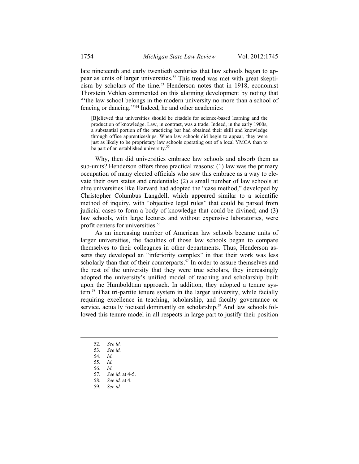late nineteenth and early twentieth centuries that law schools began to appear as units of larger universities.52 This trend was met with great skepticism by scholars of the time.<sup>53</sup> Henderson notes that in 1918, economist Thorstein Veblen commented on this alarming development by noting that "the law school belongs in the modern university no more than a school of fencing or dancing.'"54 Indeed, he and other academics:

[B]elieved that universities should be citadels for science-based learning and the production of knowledge. Law, in contrast, was a trade. Indeed, in the early 1900s, a substantial portion of the practicing bar had obtained their skill and knowledge through office apprenticeships. When law schools did begin to appear, they were just as likely to be proprietary law schools operating out of a local YMCA than to be part of an established university.<sup>5</sup>

Why, then did universities embrace law schools and absorb them as sub-units? Henderson offers three practical reasons: (1) law was the primary occupation of many elected officials who saw this embrace as a way to elevate their own status and credentials; (2) a small number of law schools at elite universities like Harvard had adopted the "case method," developed by Christopher Columbus Langdell, which appeared similar to a scientific method of inquiry, with "objective legal rules" that could be parsed from judicial cases to form a body of knowledge that could be divined; and (3) law schools, with large lectures and without expensive laboratories, were profit centers for universities.<sup>56</sup>

As an increasing number of American law schools became units of larger universities, the faculties of those law schools began to compare themselves to their colleagues in other departments. Thus, Henderson asserts they developed an "inferiority complex" in that their work was less scholarly than that of their counterparts.<sup>57</sup> In order to assure themselves and the rest of the university that they were true scholars, they increasingly adopted the university's unified model of teaching and scholarship built upon the Humboldtian approach. In addition, they adopted a tenure system.58 That tri-partite tenure system in the larger university, while facially requiring excellence in teaching, scholarship, and faculty governance or service, actually focused dominantly on scholarship.<sup>59</sup> And law schools followed this tenure model in all respects in large part to justify their position

l

59. *See id.*

 <sup>52.</sup> *See id.*

 <sup>53.</sup> *See id.*

 <sup>54.</sup> *Id.*

 <sup>55.</sup> *Id.*

 <sup>56.</sup> *Id.*

 <sup>57.</sup> *See id.* at 4-5.

 <sup>58.</sup> *See id.* at 4.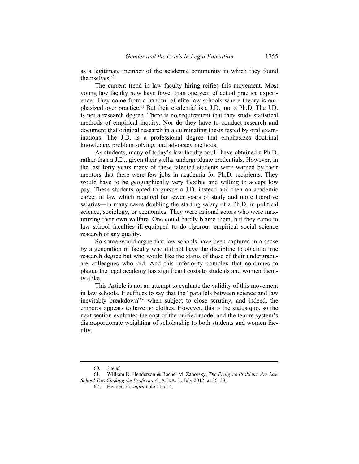as a legitimate member of the academic community in which they found themselves.<sup>60</sup>

The current trend in law faculty hiring reifies this movement. Most young law faculty now have fewer than one year of actual practice experience. They come from a handful of elite law schools where theory is emphasized over practice.61 But their credential is a J.D., not a Ph.D. The J.D. is not a research degree. There is no requirement that they study statistical methods of empirical inquiry. Nor do they have to conduct research and document that original research in a culminating thesis tested by oral examinations. The J.D. is a professional degree that emphasizes doctrinal knowledge, problem solving, and advocacy methods.

As students, many of today's law faculty could have obtained a Ph.D. rather than a J.D., given their stellar undergraduate credentials. However, in the last forty years many of these talented students were warned by their mentors that there were few jobs in academia for Ph.D. recipients. They would have to be geographically very flexible and willing to accept low pay. These students opted to pursue a J.D. instead and then an academic career in law which required far fewer years of study and more lucrative salaries—in many cases doubling the starting salary of a Ph.D. in political science, sociology, or economics. They were rational actors who were maximizing their own welfare. One could hardly blame them, but they came to law school faculties ill-equipped to do rigorous empirical social science research of any quality.

So some would argue that law schools have been captured in a sense by a generation of faculty who did not have the discipline to obtain a true research degree but who would like the status of those of their undergraduate colleagues who did. And this inferiority complex that continues to plague the legal academy has significant costs to students and women faculty alike.

This Article is not an attempt to evaluate the validity of this movement in law schools. It suffices to say that the "parallels between science and law inevitably breakdown"62 when subject to close scrutiny, and indeed, the emperor appears to have no clothes. However, this is the status quo, so the next section evaluates the cost of the unified model and the tenure system's disproportionate weighting of scholarship to both students and women faculty.

 <sup>60</sup>*. See id.* 

 <sup>61.</sup> William D. Henderson & Rachel M. Zahorsky, *The Pedigree Problem: Are Law School Ties Choking the Profession?*, A.B.A. J., July 2012, at 36, 38.

 <sup>62.</sup> Henderson, *supra* note 21, at 4.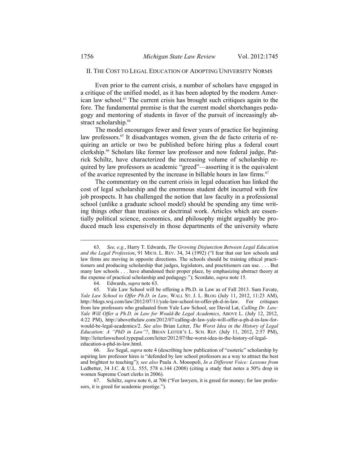#### II. THE COST TO LEGAL EDUCATION OF ADOPTING UNIVERSITY NORMS

Even prior to the current crisis, a number of scholars have engaged in a critique of the unified model, as it has been adopted by the modern American law school.<sup>63</sup> The current crisis has brought such critiques again to the fore. The fundamental premise is that the current model shortchanges pedagogy and mentoring of students in favor of the pursuit of increasingly abstract scholarship.<sup>64</sup>

The model encourages fewer and fewer years of practice for beginning law professors.<sup>65</sup> It disadvantages women, given the de facto criteria of requiring an article or two be published before hiring plus a federal court clerkship.66 Scholars like former law professor and now federal judge, Patrick Schiltz, have characterized the increasing volume of scholarship required by law professors as academic "greed"—asserting it is the equivalent of the avarice represented by the increase in billable hours in law firms.<sup>67</sup>

The commentary on the current crisis in legal education has linked the cost of legal scholarship and the enormous student debt incurred with few job prospects. It has challenged the notion that law faculty in a professional school (unlike a graduate school model) should be spending any time writing things other than treatises or doctrinal work. Articles which are essentially political science, economics, and philosophy might arguably be produced much less expensively in those departments of the university where

 <sup>63.</sup> *See, e.g.*, Harry T. Edwards, *The Growing Disjunction Between Legal Education and the Legal Profession*, 91 MICH. L. REV. 34, 34 (1992) ("I fear that our law schools and law firms are moving in opposite directions. The schools should be training ethical practitioners and producing scholarship that judges, legislators, and practitioners can use. . . . But many law schools . . . have abandoned their proper place, by emphasizing abstract theory at the expense of practical scholarship and pedagogy."); Scordato, *supra* note 15.

 <sup>64.</sup> Edwards, *supra* note 63.

 <sup>65.</sup> Yale Law School will be offering a Ph.D. in Law as of Fall 2013. Sam Favate, *Yale Law School to Offer Ph.D. in Law*, WALL ST. J. L. BLOG (July 11, 2012, 11:23 AM), http://blogs.wsj.com/law/2012/07/11/yale-law-school-to-offer-ph-d-in-law. For critiques from law professors who graduated from Yale Law School, see David Lat, *Calling Dr. Law: Yale Will Offer a Ph.D. in Law for Would-Be Legal Academics*, ABOVE L. (July 12, 2012, 4:22 PM), http://abovethelaw.com/2012/07/calling-dr-law-yale-will-offer-a-ph-d-in-law-forwould-be-legal-academics/2. *See also* Brian Leiter, *The Worst Idea in the History of Legal Education: A "PhD in Law"?*, BRIAN LEITER'S L. SCH. REP. (July 11, 2012, 2:57 PM), http://leiterlawschool.typepad.com/leiter/2012/07/the-worst-idea-in-the-history-of-legaleducation-a-phd-in-law.html.

<sup>66.</sup> *See* Segal, *supra* note 4 (describing how publication of "esoteric" scholarship by aspiring law professor hires is "defended by law school professors as a way to attract the best and brightest to teaching"); *see also* Paula A. Monopoli, *In a Different Voice: Lessons from*  Ledbetter, 34 J.C. & U.L. 555, 578 n.144 (2008) (citing a study that notes a 50% drop in women Supreme Court clerks in 2006).

 <sup>67.</sup> Schiltz, *supra* note 6, at 706 ("For lawyers, it is greed for money; for law professors, it is greed for academic prestige.").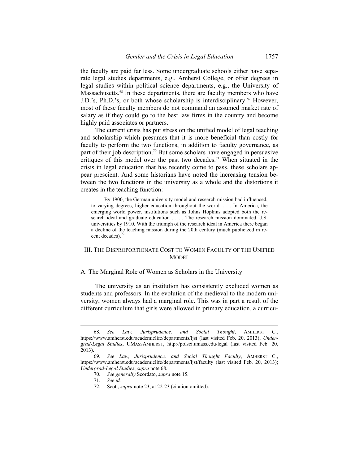the faculty are paid far less. Some undergraduate schools either have separate legal studies departments, e.g., Amherst College, or offer degrees in legal studies within political science departments, e.g., the University of Massachusetts.<sup>68</sup> In these departments, there are faculty members who have J.D.'s, Ph.D.'s, or both whose scholarship is interdisciplinary.<sup>69</sup> However, most of these faculty members do not command an assumed market rate of salary as if they could go to the best law firms in the country and become highly paid associates or partners.

The current crisis has put stress on the unified model of legal teaching and scholarship which presumes that it is more beneficial than costly for faculty to perform the two functions, in addition to faculty governance, as part of their job description.70 But some scholars have engaged in persuasive critiques of this model over the past two decades.<sup>71</sup> When situated in the crisis in legal education that has recently come to pass, these scholars appear prescient. And some historians have noted the increasing tension between the two functions in the university as a whole and the distortions it creates in the teaching function:

By 1900, the German university model and research mission had influenced, to varying degrees, higher education throughout the world. . . . In America, the emerging world power, institutions such as Johns Hopkins adopted both the research ideal and graduate education . . . . The research mission dominated U.S. universities by 1910. With the triumph of the research ideal in America there began a decline of the teaching mission during the 20th century (much publicized in recent decades).<sup>72</sup>

#### III. THE DISPROPORTIONATE COST TO WOMEN FACULTY OF THE UNIFIED MODEL

#### A. The Marginal Role of Women as Scholars in the University

The university as an institution has consistently excluded women as students and professors. In the evolution of the medieval to the modern university, women always had a marginal role. This was in part a result of the different curriculum that girls were allowed in primary education, a curricu-

l

72. Scott, *supra* note 23, at 22-23 (citation omitted).

 <sup>68.</sup> *See Law, Jurisprudence, and Social Thought*, AMHERST C., https://www.amherst.edu/academiclife/departments/ljst (last visited Feb. 20, 2013); *Undergrad-Legal Studies*, UMASSAMHERST, http://polsci.umass.edu/legal (last visited Feb. 20, 2013).

 <sup>69.</sup> *See Law, Jurisprudence, and Social Thought Faculty*, AMHERST C., https://www.amherst.edu/academiclife/departments/ljst/faculty (last visited Feb. 20, 2013); *Undergrad-Legal Studies*, *supra* note 68.

 <sup>70.</sup> *See generally* Scordato, *supra* note 15.

<sup>71.</sup> *See id.*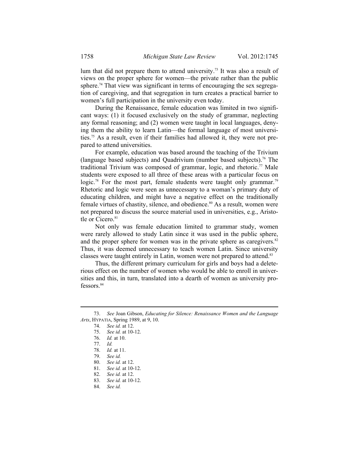lum that did not prepare them to attend university.73 It was also a result of views on the proper sphere for women—the private rather than the public sphere.<sup>74</sup> That view was significant in terms of encouraging the sex segregation of caregiving, and that segregation in turn creates a practical barrier to women's full participation in the university even today.

During the Renaissance, female education was limited in two significant ways: (1) it focused exclusively on the study of grammar, neglecting any formal reasoning; and (2) women were taught in local languages, denying them the ability to learn Latin—the formal language of most universities.75 As a result, even if their families had allowed it, they were not prepared to attend universities.

For example, education was based around the teaching of the Trivium (language based subjects) and Quadrivium (number based subjects).<sup>76</sup> The traditional Trivium was composed of grammar, logic, and rhetoric.<sup>77</sup> Male students were exposed to all three of these areas with a particular focus on logic.<sup>78</sup> For the most part, female students were taught only grammar.<sup>79</sup> Rhetoric and logic were seen as unnecessary to a woman's primary duty of educating children, and might have a negative effect on the traditionally female virtues of chastity, silence, and obedience.<sup>80</sup> As a result, women were not prepared to discuss the source material used in universities, e.g., Aristotle or Cicero.<sup>81</sup>

Not only was female education limited to grammar study, women were rarely allowed to study Latin since it was used in the public sphere, and the proper sphere for women was in the private sphere as caregivers. $82$ Thus, it was deemed unnecessary to teach women Latin. Since university classes were taught entirely in Latin, women were not prepared to attend.<sup>83</sup>

Thus, the different primary curriculum for girls and boys had a deleterious effect on the number of women who would be able to enroll in universities and this, in turn, translated into a dearth of women as university professors.<sup>84</sup>

 <sup>73.</sup> *See* Joan Gibson, *Educating for Silence: Renaissance Women and the Language Arts*, HYPATIA, Spring 1989, at 9, 10.

 <sup>74.</sup> *See id.* at 12.

 <sup>75.</sup> *See id.* at 10-12.

 <sup>76.</sup> *Id.* at 10.

 <sup>77.</sup> *Id.*

 <sup>78.</sup> *Id.* at 11.

 <sup>79.</sup> *See id.*

 <sup>80.</sup> *See id.* at 12.

 <sup>81.</sup> *See id.* at 10-12.

 <sup>82.</sup> *See id.* at 12.

 <sup>83.</sup> *See id.* at 10-12.

 <sup>84.</sup> *See id.*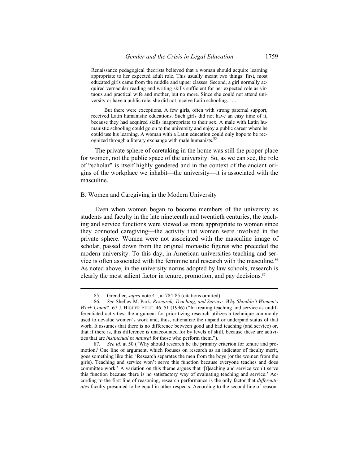Renaissance pedagogical theorists believed that a woman should acquire learning appropriate to her expected adult role. This usually meant two things: first, most educated girls came from the middle and upper classes. Second, a girl normally acquired vernacular reading and writing skills sufficient for her expected role as virtuous and practical wife and mother, but no more. Since she could not attend university or have a public role, she did not receive Latin schooling. . . .

But there were exceptions. A few girls, often with strong paternal support, received Latin humanistic educations. Such girls did not have an easy time of it, because they had acquired skills inappropriate to their sex. A male with Latin humanistic schooling could go on to the university and enjoy a public career where he could use his learning. A woman with a Latin education could only hope to be recognized through a literary exchange with male humanists.<sup>8</sup>

The private sphere of caretaking in the home was still the proper place for women, not the public space of the university. So, as we can see, the role of "scholar" is itself highly gendered and in the context of the ancient origins of the workplace we inhabit—the university—it is associated with the masculine.

#### B. Women and Caregiving in the Modern University

Even when women began to become members of the university as students and faculty in the late nineteenth and twentieth centuries, the teaching and service functions were viewed as more appropriate to women since they connoted caregiving—the activity that women were involved in the private sphere. Women were not associated with the masculine image of scholar, passed down from the original monastic figures who preceded the modern university. To this day, in American universities teaching and service is often associated with the feminine and research with the masculine.<sup>86</sup> As noted above, in the university norms adopted by law schools, research is clearly the most salient factor in tenure, promotion, and pay decisions.<sup>87</sup>

 <sup>85.</sup> Grendler, *supra* note 41, at 784-85 (citations omitted).

 <sup>86.</sup> *See* Shelley M. Park, *Research, Teaching, and Service: Why Shouldn't Women's Work Count?*, 67 J. HIGHER EDUC. 46, 51 (1996) ("In treating teaching and service as undifferentiated activities, the argument for prioritizing research utilizes a technique commonly used to devalue women's work and, thus, rationalize the unpaid or underpaid status of that work. It assumes that there is no difference between good and bad teaching (and service) or, that if there is, this difference is unaccounted for by levels of skill, because these are activities that are *instinctual* or *natural* for those who perform them.").

 <sup>87.</sup> *See id.* at 50 ("Why should research be the primary criterion for tenure and promotion? One line of argument, which focuses on research as an indicator of faculty merit, goes something like this: 'Research separates the men from the boys (or the women from the girls). Teaching and service won't serve this function because everyone teaches and does committee work.' A variation on this theme argues that '[t]eaching and service won't serve this function because there is no satisfactory way of evaluating teaching and service.' According to the first line of reasoning, research performance is the only factor that *differentiates* faculty presumed to be equal in other respects. According to the second line of reason-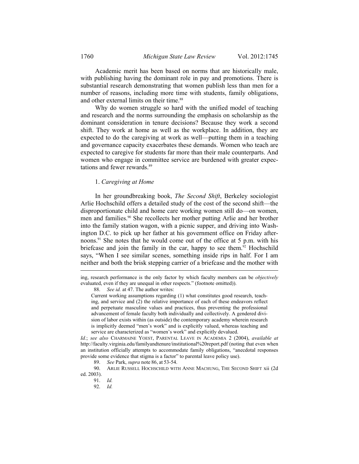Academic merit has been based on norms that are historically male, with publishing having the dominant role in pay and promotions. There is substantial research demonstrating that women publish less than men for a number of reasons, including more time with students, family obligations, and other external limits on their time.<sup>88</sup>

Why do women struggle so hard with the unified model of teaching and research and the norms surrounding the emphasis on scholarship as the dominant consideration in tenure decisions? Because they work a second shift. They work at home as well as the workplace. In addition, they are expected to do the caregiving at work as well—putting them in a teaching and governance capacity exacerbates these demands. Women who teach are expected to caregive for students far more than their male counterparts. And women who engage in committee service are burdened with greater expectations and fewer rewards.<sup>89</sup>

#### 1. *Caregiving at Home*

In her groundbreaking book, *The Second Shift*, Berkeley sociologist Arlie Hochschild offers a detailed study of the cost of the second shift—the disproportionate child and home care working women still do—on women, men and families.<sup>90</sup> She recollects her mother putting Arlie and her brother into the family station wagon, with a picnic supper, and driving into Washington D.C. to pick up her father at his government office on Friday afternoons.<sup>91</sup> She notes that he would come out of the office at 5 p.m. with his briefcase and join the family in the car, happy to see them.<sup>92</sup> Hochschild says, "When I see similar scenes, something inside rips in half. For I am neither and both the brisk stepping carrier of a briefcase and the mother with

ing, research performance is the only factor by which faculty members can be *objectively*  evaluated, even if they are unequal in other respects." (footnote omitted)).

88. *See id.* at 47. The author writes:

Current working assumptions regarding (1) what constitutes good research, teaching, and service and (2) the relative importance of each of these endeavors reflect and perpetuate masculine values and practices, thus preventing the professional advancement of female faculty both individually and collectively. A gendered division of labor exists within (as outside) the contemporary academy wherein research is implicitly deemed "men's work" and is explicitly valued, whereas teaching and service are characterized as "women's work" and explicitly devalued.

*Id.*; *see also* CHARMAINE YOEST, PARENTAL LEAVE IN ACADEMIA 2 (2004), *available at* http://faculty.virginia.edu/familyandtenure/institutional%20report.pdf (noting that even when an institution officially attempts to accommodate family obligations, "anecdotal responses provide some evidence that stigma is a factor" to parental leave policy use).

89. *See* Park, *supra* note 86, at 53-54.

 90. ARLIE RUSSELL HOCHSCHILD WITH ANNE MACHUNG, THE SECOND SHIFT xii (2d ed. 2003).

92. *Id.*

 <sup>91.</sup> *Id.*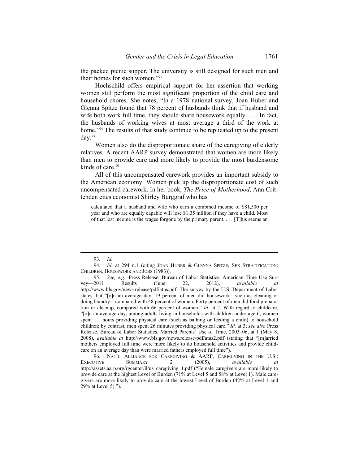the packed picnic supper. The university is still designed for such men and their homes for such women."93

Hochschild offers empirical support for her assertion that working women still perform the most significant proportion of the child care and household chores. She notes, "In a 1978 national survey, Joan Huber and Glenna Spitze found that 78 percent of husbands think that if husband and wife both work full time, they should share housework equally. . . . In fact, the husbands of working wives at most average a third of the work at home."<sup>94</sup> The results of that study continue to be replicated up to the present day.95

Women also do the disproportionate share of the caregiving of elderly relatives. A recent AARP survey demonstrated that women are more likely than men to provide care and more likely to provide the most burdensome kinds of care.<sup>96</sup>

All of this uncompensated carework provides an important subsidy to the American economy. Women pick up the disproportionate cost of such uncompensated carework. In her book, *The Price of Motherhood*, Ann Crittenden cites economist Shirley Burggraf who has

calculated that a husband and wife who earn a combined income of \$81,500 per year and who are equally capable will lose \$1.35 million if they have a child. Most of that lost income is the wages forgone by the primary parent. . . . [T]his seems an

 <sup>93.</sup> *Id.*

<sup>94.</sup> *Id.* at 294 n.1 (citing JOAN HUBER & GLENNA SPITZE, SEX STRATIFICATION: CHILDREN, HOUSEWORK AND JOBS (1983)).

<sup>95.</sup> *See, e.g.*, Press Release, Bureau of Labor Statistics, American Time Use Survey—2011 Results (June 22, 2012), *available at* http://www.bls.gov/news.release/pdf/atus.pdf. The survey by the U.S. Department of Labor states that "[o]n an average day, 19 percent of men did housework—such as cleaning or doing laundry—compared with 48 percent of women. Forty percent of men did food preparation or cleanup, compared with 66 percent of women." *Id.* at 2. With regard to childcare, "[o]n an average day, among adults living in households with children under age 6, women spent 1.1 hours providing physical care (such as bathing or feeding a child) to household children; by contrast, men spent 26 minutes providing physical care." *Id.* at 3; *see also* Press Release, Bureau of Labor Statistics, Married Parents' Use of Time, 2003–06, at 1 (May 8, 2008), *available at* http://www.bls.gov/news.release/pdf/atus2.pdf (stating that "[m]arried mothers employed full time were more likely to do household activities and provide childcare on an average day than were married fathers employed full time").

 <sup>96.</sup> NAT'L ALLIANCE FOR CAREGIVING & AARP, CAREGIVING IN THE U.S.: EXECUTIVE SUMMARY 2 (2005), *available at* http://assets.aarp.org/rgcenter/il/us\_caregiving\_1.pdf ("Female caregivers are more likely to provide care at the highest Level of Burden (71% at Level 5 and 58% at Level 1). Male caregivers are more likely to provide care at the lowest Level of Burden (42% at Level 1 and 29% at Level 5).").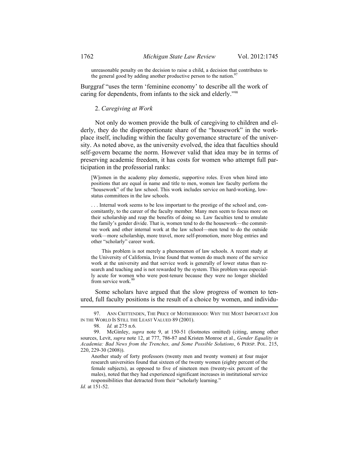unreasonable penalty on the decision to raise a child, a decision that contributes to the general good by adding another productive person to the nation.<sup>9</sup>

Burggraf "uses the term 'feminine economy' to describe all the work of caring for dependents, from infants to the sick and elderly."98

#### 2. *Caregiving at Work*

Not only do women provide the bulk of caregiving to children and elderly, they do the disproportionate share of the "housework" in the workplace itself, including within the faculty governance structure of the university. As noted above, as the university evolved, the idea that faculties should self-govern became the norm. However valid that idea may be in terms of preserving academic freedom, it has costs for women who attempt full participation in the professorial ranks:

[W]omen in the academy play domestic, supportive roles. Even when hired into positions that are equal in name and title to men, women law faculty perform the "housework" of the law school. This work includes service on hard-working, lowstatus committees in the law schools.

. . . Internal work seems to be less important to the prestige of the school and, concomitantly, to the career of the faculty member. Many men seem to focus more on their scholarship and reap the benefits of doing so. Law faculties tend to emulate the family's gender divide. That is, women tend to do the housework—the committee work and other internal work at the law school—men tend to do the outside work—more scholarship, more travel, more self-promotion, more blog entries and other "scholarly" career work.

This problem is not merely a phenomenon of law schools. A recent study at the University of California, Irvine found that women do much more of the service work at the university and that service work is generally of lower status than research and teaching and is not rewarded by the system. This problem was especially acute for women who were post-tenure because they were no longer shielded from service work.<sup>99</sup>

Some scholars have argued that the slow progress of women to tenured, full faculty positions is the result of a choice by women, and individu-

*Id.* at 151-52.

 <sup>97.</sup> ANN CRITTENDEN, THE PRICE OF MOTHERHOOD: WHY THE MOST IMPORTANT JOB IN THE WORLD IS STILL THE LEAST VALUED 89 (2001).

 <sup>98.</sup> *Id.* at 275 n.6.

 <sup>99.</sup> McGinley, *supra* note 9, at 150-51 (footnotes omitted) (citing, among other sources, Levit, *supra* note 12, at 777, 786-87 and Kristen Monroe et al., *Gender Equality in Academia: Bad News from the Trenches, and Some Possible Solutions*, 6 PERSP. POL. 215, 220, 229-30 (2008)).

Another study of forty professors (twenty men and twenty women) at four major research universities found that sixteen of the twenty women (eighty percent of the female subjects), as opposed to five of nineteen men (twenty-six percent of the males), noted that they had experienced significant increases in institutional service responsibilities that detracted from their "scholarly learning."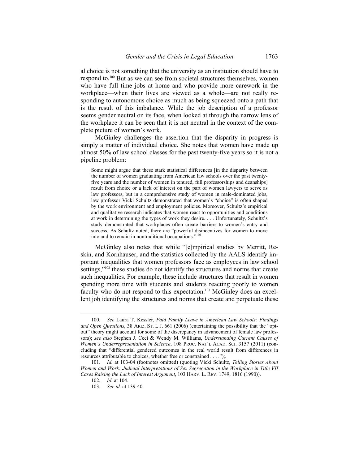al choice is not something that the university as an institution should have to respond to.100 But as we can see from societal structures themselves, women who have full time jobs at home and who provide more carework in the workplace—when their lives are viewed as a whole—are not really responding to autonomous choice as much as being squeezed onto a path that is the result of this imbalance. While the job description of a professor seems gender neutral on its face, when looked at through the narrow lens of the workplace it can be seen that it is not neutral in the context of the complete picture of women's work.

McGinley challenges the assertion that the disparity in progress is simply a matter of individual choice. She notes that women have made up almost 50% of law school classes for the past twenty-five years so it is not a pipeline problem:

Some might argue that these stark statistical differences [in the disparity between the number of women graduating from American law schools over the past twentyfive years and the number of women in tenured, full professorships and deanships] result from choice or a lack of interest on the part of women lawyers to serve as law professors, but in a comprehensive study of women in male-dominated jobs, law professor Vicki Schultz demonstrated that women's "choice" is often shaped by the work environment and employment policies. Moreover, Schultz's empirical and qualitative research indicates that women react to opportunities and conditions at work in determining the types of work they desire. . . . Unfortunately, Schultz's study demonstrated that workplaces often create barriers to women's entry and success. As Schultz noted, there are "powerful disincentives for women to move into and to remain in nontraditional occupations."101

McGinley also notes that while "[e]mpirical studies by Merritt, Reskin, and Kornhauser, and the statistics collected by the AALS identify important inequalities that women professors face as employees in law school settings,"<sup>102</sup> these studies do not identify the structures and norms that create such inequalities. For example, these include structures that result in women spending more time with students and students reacting poorly to women faculty who do not respond to this expectation.<sup>103</sup> McGinley does an excellent job identifying the structures and norms that create and perpetuate these

 <sup>100.</sup> *See* Laura T. Kessler, *Paid Family Leave in American Law Schools: Findings and Open Questions*, 38 ARIZ. ST. L.J. 661 (2006) (entertaining the possibility that the "optout" theory might account for some of the discrepancy in advancement of female law professors); *see also* Stephen J. Ceci & Wendy M. Williams, *Understanding Current Causes of Women's Underrepresentation in Science*, 108 PROC. NAT'L ACAD. SCI. 3157 (2011) (concluding that "differential gendered outcomes in the real world result from differences in resources attributable to choices, whether free or constrained . . . .");.

 <sup>101.</sup> *Id.* at 103-04 (footnotes omitted) (quoting Vicki Schultz, *Telling Stories About Women and Work: Judicial Interpretations of Sex Segregation in the Workplace in Title VII Cases Raising the Lack of Interest Argument*, 103 HARV. L. REV. 1749, 1816 (1990)).

 <sup>102.</sup> *Id.* at 104.

<sup>103.</sup> *See id.* at 139-40.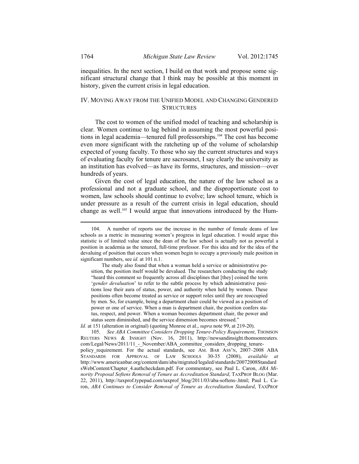inequalities. In the next section, I build on that work and propose some significant structural change that I think may be possible at this moment in history, given the current crisis in legal education.

## IV. MOVING AWAY FROM THE UNIFIED MODEL AND CHANGING GENDERED **STRUCTURES**

The cost to women of the unified model of teaching and scholarship is clear. Women continue to lag behind in assuming the most powerful positions in legal academia—tenured full professorships.<sup>104</sup> The cost has become even more significant with the ratcheting up of the volume of scholarship expected of young faculty. To those who say the current structures and ways of evaluating faculty for tenure are sacrosanct, I say clearly the university as an institution has evolved—as have its forms, structures, and mission—over hundreds of years.

Given the cost of legal education, the nature of the law school as a professional and not a graduate school, and the disproportionate cost to women, law schools should continue to evolve; law school tenure, which is under pressure as a result of the current crisis in legal education, should change as well.<sup>105</sup> I would argue that innovations introduced by the Hum-

The study also found that when a woman held a service or administrative position, the position itself would be devalued. The researchers conducting the study "heard this comment so frequently across all disciplines that [they] coined the term '*gender devaluation*' to refer to the subtle process by which administrative positions lose their aura of status, power, and authority when held by women. These positions often become treated as service or support roles until they are reoccupied by men. So, for example, being a department chair could be viewed as a position of power or one of service. When a man is department chair, the position confers status, respect, and power. When a woman becomes department chair, the power and status seem diminished, and the service dimension becomes stressed."

 105. *See ABA Committee Considers Dropping Tenure-Policy Requirement*, THOMSON REUTERS NEWS & INSIGHT (Nov. 16, 2011), http://newsandinsight.thomsonreuters. com/Legal/News/2011/11 - November/ABA committee considers dropping tenurepolicy\_requirement. For the actual standards, see AM. BAR ASS'N, 2007–2008 ABA STANDARDS FOR APPROVAL OF LAW SCHOOLS 30-35 (2008), *available at* http://www.americanbar.org/content/dam/aba/migrated/legaled/standards/20072008Standard sWebContent/Chapter\_4.authcheckdam.pdf. For commentary, see Paul L. Caron, *ABA Minority Proposal Softens Removal of Tenure as Accreditation Standard*, TAXPROF BLOG (Mar. 22, 2011), http://taxprof.typepad.com/taxprof\_blog/2011/03/aba-softens-.html; Paul L. Caron, *ABA Continues to Consider Removal of Tenure as Accreditation Standard*, TAXPROF

 <sup>104.</sup> A number of reports use the increase in the number of female deans of law schools as a metric in measuring women's progress in legal education. I would argue this statistic is of limited value since the dean of the law school is actually not as powerful a position in academia as the tenured, full-time professor. For this idea and for the idea of the devaluing of position that occurs when women begin to occupy a previously male position in significant numbers, see *id.* at 101 n.1.

*Id.* at 151 (alteration in original) (quoting Monroe et al., *supra* note 99, at 219-20).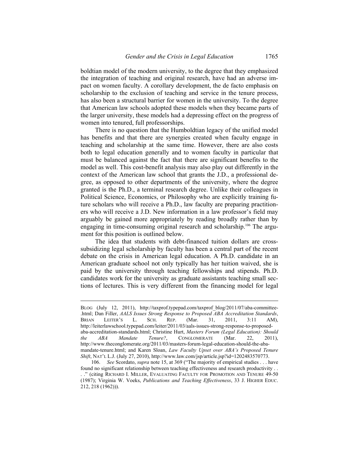boldtian model of the modern university, to the degree that they emphasized the integration of teaching and original research, have had an adverse impact on women faculty. A corollary development, the de facto emphasis on scholarship to the exclusion of teaching and service in the tenure process, has also been a structural barrier for women in the university. To the degree that American law schools adopted these models when they became parts of the larger university, these models had a depressing effect on the progress of women into tenured, full professorships.

There is no question that the Humboldtian legacy of the unified model has benefits and that there are synergies created when faculty engage in teaching and scholarship at the same time. However, there are also costs both to legal education generally and to women faculty in particular that must be balanced against the fact that there are significant benefits to the model as well. This cost-benefit analysis may also play out differently in the context of the American law school that grants the J.D., a professional degree, as opposed to other departments of the university, where the degree granted is the Ph.D., a terminal research degree. Unlike their colleagues in Political Science, Economics, or Philosophy who are explicitly training future scholars who will receive a Ph.D., law faculty are preparing practitioners who will receive a J.D. New information in a law professor's field may arguably be gained more appropriately by reading broadly rather than by engaging in time-consuming original research and scholarship.<sup>106</sup> The argument for this position is outlined below.

The idea that students with debt-financed tuition dollars are crosssubsidizing legal scholarship by faculty has been a central part of the recent debate on the crisis in American legal education. A Ph.D. candidate in an American graduate school not only typically has her tuition waived, she is paid by the university through teaching fellowships and stipends. Ph.D. candidates work for the university as graduate assistants teaching small sections of lectures. This is very different from the financing model for legal

BLOG (July 12, 2011), http://taxprof.typepad.com/taxprof\_blog/2011/07/aba-committee- .html; Dan Filler, *AALS Issues Strong Response to Proposed ABA Accreditation Standards*, BRIAN LEITER'S L. SCH. REP. (Mar. 31, 2011, 3:11 AM), http://leiterlawschool.typepad.com/leiter/2011/03/aals-issues-strong-response-to-proposedaba-accreditation-standards.html; Christine Hurt, *Masters Forum (Legal Education): Should the ABA Mandate Tenure?*, CONGLOMERATE (Mar. 22, 2011), http://www.theconglomerate.org/2011/03/masters-forum-legal-education-should-the-abamandate-tenure.html; and Karen Sloan, *Law Faculty Upset over ABA's Proposed Tenure Shift*, NAT'L L.J. (July 27, 2010), http://www.law.com/jsp/article.jsp?id=1202483570773.

 <sup>106.</sup> *See* Scordato, *supra* note 15, at 369 ("The majority of empirical studies . . . have found no significant relationship between teaching effectiveness and research productivity . . . ." (citing RICHARD I. MILLER, EVALUATING FACULTY FOR PROMOTION AND TENURE 49-50 (1987); Virginia W. Voeks, *Publications and Teaching Effectiveness*, 33 J. HIGHER EDUC. 212, 218 (1962))).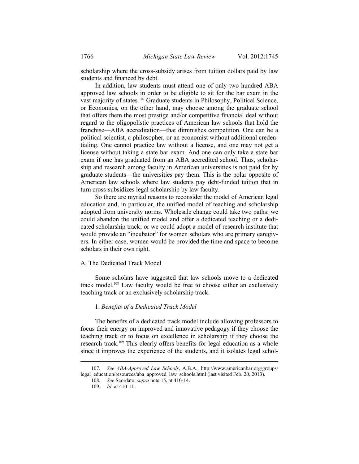scholarship where the cross-subsidy arises from tuition dollars paid by law students and financed by debt.

In addition, law students must attend one of only two hundred ABA approved law schools in order to be eligible to sit for the bar exam in the vast majority of states.107 Graduate students in Philosophy, Political Science, or Economics, on the other hand, may choose among the graduate school that offers them the most prestige and/or competitive financial deal without regard to the oligopolistic practices of American law schools that hold the franchise—ABA accreditation—that diminishes competition. One can be a political scientist, a philosopher, or an economist without additional credentialing. One cannot practice law without a license, and one may not get a license without taking a state bar exam. And one can only take a state bar exam if one has graduated from an ABA accredited school. Thus, scholarship and research among faculty in American universities is not paid for by graduate students—the universities pay them. This is the polar opposite of American law schools where law students pay debt-funded tuition that in turn cross-subsidizes legal scholarship by law faculty.

So there are myriad reasons to reconsider the model of American legal education and, in particular, the unified model of teaching and scholarship adopted from university norms. Wholesale change could take two paths: we could abandon the unified model and offer a dedicated teaching or a dedicated scholarship track; or we could adopt a model of research institute that would provide an "incubator" for women scholars who are primary caregivers. In either case, women would be provided the time and space to become scholars in their own right.

#### A. The Dedicated Track Model

Some scholars have suggested that law schools move to a dedicated track model.108 Law faculty would be free to choose either an exclusively teaching track or an exclusively scholarship track.

#### 1. *Benefits of a Dedicated Track Model*

The benefits of a dedicated track model include allowing professors to focus their energy on improved and innovative pedagogy if they choose the teaching track or to focus on excellence in scholarship if they choose the research track.109 This clearly offers benefits for legal education as a whole since it improves the experience of the students, and it isolates legal schol-

 <sup>107.</sup> *See ABA-Approved Law Schools*, A.B.A., http://www.americanbar.org/groups/ legal\_education/resources/aba\_approved\_law\_schools.html (last visited Feb. 20, 2013).

 <sup>108.</sup> *See* Scordato, *supra* note 15, at 410-14.

 <sup>109.</sup> *Id.* at 410-11.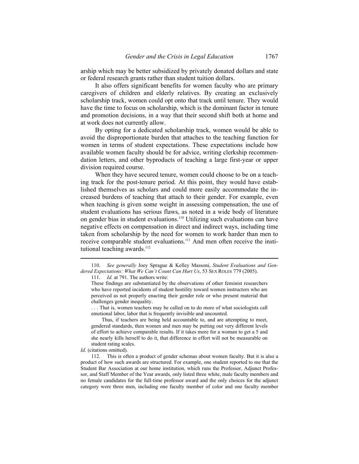arship which may be better subsidized by privately donated dollars and state or federal research grants rather than student tuition dollars.

It also offers significant benefits for women faculty who are primary caregivers of children and elderly relatives. By creating an exclusively scholarship track, women could opt onto that track until tenure. They would have the time to focus on scholarship, which is the dominant factor in tenure and promotion decisions, in a way that their second shift both at home and at work does not currently allow.

By opting for a dedicated scholarship track, women would be able to avoid the disproportionate burden that attaches to the teaching function for women in terms of student expectations. These expectations include how available women faculty should be for advice, writing clerkship recommendation letters, and other byproducts of teaching a large first-year or upper division required course.

When they have secured tenure, women could choose to be on a teaching track for the post-tenure period. At this point, they would have established themselves as scholars and could more easily accommodate the increased burdens of teaching that attach to their gender. For example, even when teaching is given some weight in assessing compensation, the use of student evaluations has serious flaws, as noted in a wide body of literature on gender bias in student evaluations.110 Utilizing such evaluations can have negative effects on compensation in direct and indirect ways, including time taken from scholarship by the need for women to work harder than men to receive comparable student evaluations.111 And men often receive the institutional teaching awards. $112$ 

 <sup>110.</sup> *See generally* Joey Sprague & Kelley Massoni, *Student Evaluations and Gendered Expectations: What We Can't Count Can Hurt Us*, 53 SEX ROLES 779 (2005).

<sup>111.</sup> *Id.* at 791. The authors write:

These findings are substantiated by the observations of other feminist researchers who have reported incidents of student hostility toward women instructors who are perceived as not properly enacting their gender role or who present material that challenges gender inequality.

<sup>. . .</sup> That is, women teachers may be called on to do more of what sociologists call emotional labor, labor that is frequently invisible and uncounted.

Thus, if teachers are being held accountable to, and are attempting to meet, gendered standards, then women and men may be putting out very different levels of effort to achieve comparable results. If it takes more for a woman to get a 5 and she nearly kills herself to do it, that difference in effort will not be measurable on student rating scales.

*Id.* (citations omitted).

 <sup>112.</sup> This is often a product of gender schemas about women faculty. But it is also a product of how such awards are structured. For example, one student reported to me that the Student Bar Association at our home institution, which runs the Professor, Adjunct Professor, and Staff Member of the Year awards, only listed three white, male faculty members and no female candidates for the full-time professor award and the only choices for the adjunct category were three men, including one faculty member of color and one faculty member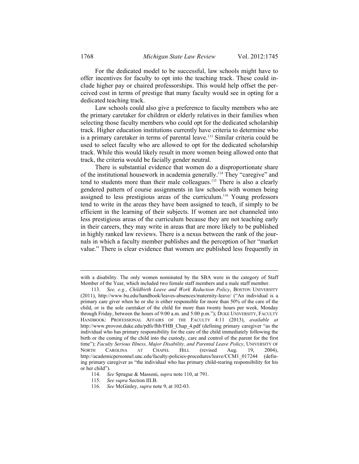For the dedicated model to be successful, law schools might have to offer incentives for faculty to opt into the teaching track. These could include higher pay or chaired professorships. This would help offset the perceived cost in terms of prestige that many faculty would see in opting for a dedicated teaching track.

Law schools could also give a preference to faculty members who are the primary caretaker for children or elderly relatives in their families when selecting those faculty members who could opt for the dedicated scholarship track. Higher education institutions currently have criteria to determine who is a primary caretaker in terms of parental leave.<sup>113</sup> Similar criteria could be used to select faculty who are allowed to opt for the dedicated scholarship track. While this would likely result in more women being allowed onto that track, the criteria would be facially gender neutral.

There is substantial evidence that women do a disproportionate share of the institutional housework in academia generally.114 They "caregive" and tend to students more than their male colleagues.115 There is also a clearly gendered pattern of course assignments in law schools with women being assigned to less prestigious areas of the curriculum.<sup>116</sup> Young professors tend to write in the areas they have been assigned to teach, if simply to be efficient in the learning of their subjects. If women are not channeled into less prestigious areas of the curriculum because they are not teaching early in their careers, they may write in areas that are more likely to be published in highly ranked law reviews. There is a nexus between the rank of the journals in which a faculty member publishes and the perception of her "market value." There is clear evidence that women are published less frequently in

with a disability. The only women nominated by the SBA were in the category of Staff Member of the Year, which included two female staff members and a male staff member.

<sup>113.</sup> See, e.g., *Childbirth Leave and Work Reduction Policy*, BOSTON UNIVERSITY (2011), http://www.bu.edu/handbook/leaves-absences/maternity-leave/ ("An individual is a primary care giver when he or she is either responsible for more than 50% of the care of the child, or is the sole caretaker of the child for more than twenty hours per week, Monday through Friday, between the hours of 9:00 a.m. and 5:00 p.m."); DUKE UNIVERSITY, FACULTY HANDBOOK: PROFESSIONAL AFFAIRS OF THE FACULTY 4:11 (2013), *available at* http://www.provost.duke.edu/pdfs/fhb/FHB\_Chap\_4.pdf (defining primary caregiver "as the individual who has primary responsibility for the care of the child immediately following the birth or the coming of the child into the custody, care and control of the parent for the first time"); *Faculty Serious Illness, Major Disability, and Parental Leave Policy*, UNIVERSITY OF NORTH CAROLINA AT CHAPEL HILL (revised Aug. 19, 2004), http://academicpersonnel.unc.edu/faculty-policies-procedures/leave/CCM1\_017244 (defining primary caregiver as "the individual who has primary child-rearing responsibility for his or her child").

 <sup>114.</sup> *See* Sprague & Massoni, *supra* note 110, at 791.

 <sup>115.</sup> *See supra* Section III.B.

 <sup>116.</sup> *See* McGinley, *supra* note 9, at 102-03.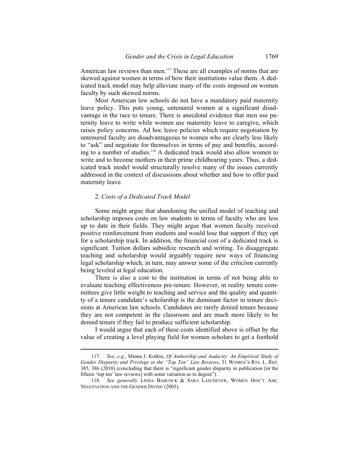American law reviews than men.<sup>117</sup> These are all examples of norms that are skewed against women in terms of how their institutions value them. A dedicated track model may help alleviate many of the costs imposed on women faculty by such skewed norms.

Most American law schools do not have a mandatory paid maternity leave policy. This puts young, untenured women at a significant disadvantage in the race to tenure. There is anecdotal evidence that men use paternity leave to write while women use maternity leave to caregive, which raises policy concerns. Ad hoc leave policies which require negotiation by untenured faculty are disadvantageous to women who are clearly less likely to "ask" and negotiate for themselves in terms of pay and benefits, according to a number of studies.118 A dedicated track would also allow women to write and to become mothers in their prime childbearing years. Thus, a dedicated track model would structurally resolve many of the issues currently addressed in the context of discussions about whether and how to offer paid maternity leave.

#### 2. *Costs of a Dedicated Track Model*

l

Some might argue that abandoning the unified model of teaching and scholarship imposes costs on law students in terms of faculty who are less up to date in their fields. They might argue that women faculty received positive reinforcement from students and would lose that support if they opt for a scholarship track. In addition, the financial cost of a dedicated track is significant. Tuition dollars subsidize research and writing. To disaggregate teaching and scholarship would arguably require new ways of financing legal scholarship which, in turn, may answer some of the criticism currently being leveled at legal education.

There is also a cost to the institution in terms of not being able to evaluate teaching effectiveness pre-tenure. However, in reality tenure committees give little weight to teaching and service and the quality and quantity of a tenure candidate's scholarship is the dominant factor in tenure decisions at American law schools. Candidates are rarely denied tenure because they are not competent in the classroom and are much more likely to be denied tenure if they fail to produce sufficient scholarship.

I would argue that each of these costs identified above is offset by the value of creating a level playing field for women scholars to get a foothold

 <sup>117.</sup> *See, e.g.*, Minna J. Kotkin, *Of Authorship and Audacity: An Empirical Study of Gender Disparity and Privilege in the "Top Ten" Law Reviews*, 31 WOMEN'S RTS. L. REP. 385, 386 (2010) (concluding that there is "significant gender disparity in publication [in the fifteen 'top ten' law reviews] with some variation as to degree").

 <sup>118.</sup> *See generally* LINDA BABCOCK & SARA LASCHEVER, WOMEN DON'T ASK: NEGOTIATION AND THE GENDER DIVIDE (2003).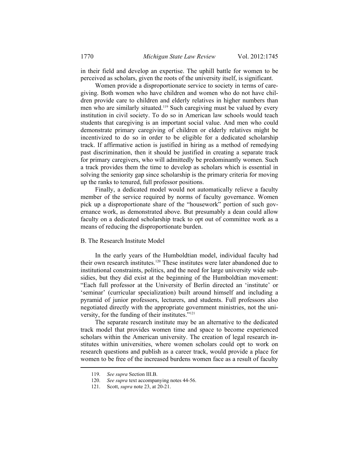in their field and develop an expertise. The uphill battle for women to be perceived as scholars, given the roots of the university itself, is significant.

Women provide a disproportionate service to society in terms of caregiving. Both women who have children and women who do not have children provide care to children and elderly relatives in higher numbers than men who are similarly situated.119 Such caregiving must be valued by every institution in civil society. To do so in American law schools would teach students that caregiving is an important social value. And men who could demonstrate primary caregiving of children or elderly relatives might be incentivized to do so in order to be eligible for a dedicated scholarship track. If affirmative action is justified in hiring as a method of remedying past discrimination, then it should be justified in creating a separate track for primary caregivers, who will admittedly be predominantly women. Such a track provides them the time to develop as scholars which is essential in solving the seniority gap since scholarship is the primary criteria for moving up the ranks to tenured, full professor positions.

Finally, a dedicated model would not automatically relieve a faculty member of the service required by norms of faculty governance. Women pick up a disproportionate share of the "housework" portion of such governance work, as demonstrated above. But presumably a dean could allow faculty on a dedicated scholarship track to opt out of committee work as a means of reducing the disproportionate burden.

#### B. The Research Institute Model

In the early years of the Humboldtian model, individual faculty had their own research institutes.120 These institutes were later abandoned due to institutional constraints, politics, and the need for large university wide subsidies, but they did exist at the beginning of the Humboldtian movement: "Each full professor at the University of Berlin directed an 'institute' or 'seminar' (curricular specialization) built around himself and including a pyramid of junior professors, lecturers, and students. Full professors also negotiated directly with the appropriate government ministries, not the university, for the funding of their institutes."121

The separate research institute may be an alternative to the dedicated track model that provides women time and space to become experienced scholars within the American university. The creation of legal research institutes within universities, where women scholars could opt to work on research questions and publish as a career track, would provide a place for women to be free of the increased burdens women face as a result of faculty .<br>.

 <sup>119.</sup> *See supra* Section III.B.

 <sup>120.</sup> *See supra* text accompanying notes 44-56.

 <sup>121.</sup> Scott, *supra* note 23, at 20-21.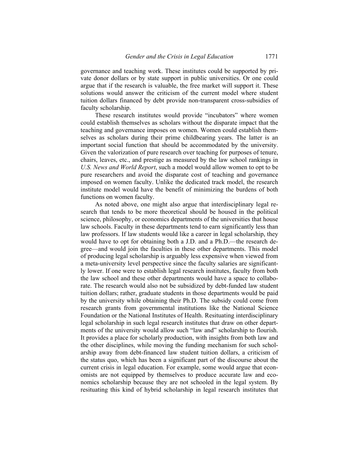governance and teaching work. These institutes could be supported by private donor dollars or by state support in public universities. Or one could argue that if the research is valuable, the free market will support it. These solutions would answer the criticism of the current model where student tuition dollars financed by debt provide non-transparent cross-subsidies of faculty scholarship.

These research institutes would provide "incubators" where women could establish themselves as scholars without the disparate impact that the teaching and governance imposes on women. Women could establish themselves as scholars during their prime childbearing years. The latter is an important social function that should be accommodated by the university. Given the valorization of pure research over teaching for purposes of tenure, chairs, leaves, etc., and prestige as measured by the law school rankings in *U.S. News and World Report*, such a model would allow women to opt to be pure researchers and avoid the disparate cost of teaching and governance imposed on women faculty. Unlike the dedicated track model, the research institute model would have the benefit of minimizing the burdens of both functions on women faculty.

As noted above, one might also argue that interdisciplinary legal research that tends to be more theoretical should be housed in the political science, philosophy, or economics departments of the universities that house law schools. Faculty in these departments tend to earn significantly less than law professors. If law students would like a career in legal scholarship, they would have to opt for obtaining both a J.D. and a Ph.D.—the research degree—and would join the faculties in these other departments. This model of producing legal scholarship is arguably less expensive when viewed from a meta-university level perspective since the faculty salaries are significantly lower. If one were to establish legal research institutes, faculty from both the law school and these other departments would have a space to collaborate. The research would also not be subsidized by debt-funded law student tuition dollars; rather, graduate students in those departments would be paid by the university while obtaining their Ph.D. The subsidy could come from research grants from governmental institutions like the National Science Foundation or the National Institutes of Health. Resituating interdisciplinary legal scholarship in such legal research institutes that draw on other departments of the university would allow such "law and" scholarship to flourish. It provides a place for scholarly production, with insights from both law and the other disciplines, while moving the funding mechanism for such scholarship away from debt-financed law student tuition dollars, a criticism of the status quo, which has been a significant part of the discourse about the current crisis in legal education. For example, some would argue that economists are not equipped by themselves to produce accurate law and economics scholarship because they are not schooled in the legal system. By resituating this kind of hybrid scholarship in legal research institutes that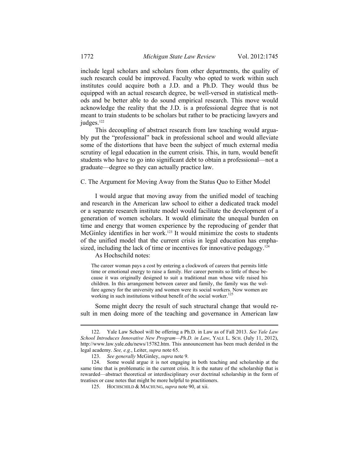include legal scholars and scholars from other departments, the quality of such research could be improved. Faculty who opted to work within such institutes could acquire both a J.D. and a Ph.D. They would thus be equipped with an actual research degree, be well-versed in statistical methods and be better able to do sound empirical research. This move would acknowledge the reality that the J.D. is a professional degree that is not meant to train students to be scholars but rather to be practicing lawyers and judges.<sup>122</sup>

This decoupling of abstract research from law teaching would arguably put the "professional" back in professional school and would alleviate some of the distortions that have been the subject of much external media scrutiny of legal education in the current crisis. This, in turn, would benefit students who have to go into significant debt to obtain a professional—not a graduate—degree so they can actually practice law.

## C. The Argument for Moving Away from the Status Quo to Either Model

I would argue that moving away from the unified model of teaching and research in the American law school to either a dedicated track model or a separate research institute model would facilitate the development of a generation of women scholars. It would eliminate the unequal burden on time and energy that women experience by the reproducing of gender that McGinley identifies in her work.<sup>123</sup> It would minimize the costs to students of the unified model that the current crisis in legal education has emphasized, including the lack of time or incentives for innovative pedagogy.<sup>124</sup>

As Hochschild notes:

l

The career woman pays a cost by entering a clockwork of careers that permits little time or emotional energy to raise a family. Her career permits so little of these because it was originally designed to suit a traditional man whose wife raised his children. In this arrangement between career and family, the family was the welfare agency for the university and women were its social workers. Now women are working in such institutions without benefit of the social worker.<sup>125</sup>

Some might decry the result of such structural change that would result in men doing more of the teaching and governance in American law

 <sup>122.</sup> Yale Law School will be offering a Ph.D. in Law as of Fall 2013. *See Yale Law School Introduces Innovative New Program—Ph.D. in Law*, YALE L. SCH. (July 11, 2012), http://www.law.yale.edu/news/15782.htm. This announcement has been much derided in the legal academy. *See, e.g.*, Leiter, *supra* note 65.

<sup>123.</sup> *See generally* McGinley, *supra* note 9.

 <sup>124.</sup> Some would argue it is not engaging in both teaching and scholarship at the same time that is problematic in the current crisis. It is the nature of the scholarship that is rewarded—abstract theoretical or interdisciplinary over doctrinal scholarship in the form of treatises or case notes that might be more helpful to practitioners.

 <sup>125.</sup> HOCHSCHILD & MACHUNG, *supra* note 90, at xii.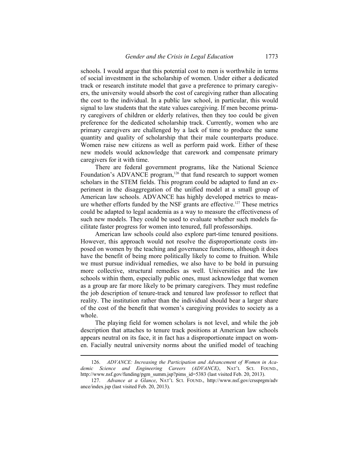schools. I would argue that this potential cost to men is worthwhile in terms of social investment in the scholarship of women. Under either a dedicated track or research institute model that gave a preference to primary caregivers, the university would absorb the cost of caregiving rather than allocating the cost to the individual. In a public law school, in particular, this would signal to law students that the state values caregiving. If men become primary caregivers of children or elderly relatives, then they too could be given preference for the dedicated scholarship track. Currently, women who are primary caregivers are challenged by a lack of time to produce the same quantity and quality of scholarship that their male counterparts produce. Women raise new citizens as well as perform paid work. Either of these new models would acknowledge that carework and compensate primary caregivers for it with time.

There are federal government programs, like the National Science Foundation's ADVANCE program,<sup>126</sup> that fund research to support women scholars in the STEM fields. This program could be adapted to fund an experiment in the disaggregation of the unified model at a small group of American law schools. ADVANCE has highly developed metrics to measure whether efforts funded by the NSF grants are effective.<sup>127</sup> These metrics could be adapted to legal academia as a way to measure the effectiveness of such new models. They could be used to evaluate whether such models facilitate faster progress for women into tenured, full professorships.

American law schools could also explore part-time tenured positions. However, this approach would not resolve the disproportionate costs imposed on women by the teaching and governance functions, although it does have the benefit of being more politically likely to come to fruition. While we must pursue individual remedies, we also have to be bold in pursuing more collective, structural remedies as well. Universities and the law schools within them, especially public ones, must acknowledge that women as a group are far more likely to be primary caregivers. They must redefine the job description of tenure-track and tenured law professor to reflect that reality. The institution rather than the individual should bear a larger share of the cost of the benefit that women's caregiving provides to society as a whole.

The playing field for women scholars is not level, and while the job description that attaches to tenure track positions at American law schools appears neutral on its face, it in fact has a disproportionate impact on women. Facially neutral university norms about the unified model of teaching

 <sup>126.</sup> *ADVANCE: Increasing the Participation and Advancement of Women in Academic Science and Engineering Careers (ADVANCE)*, NAT'L SCI. FOUND., http://www.nsf.gov/funding/pgm\_summ.jsp?pims\_id=5383 (last visited Feb. 20, 2013).

 <sup>127.</sup> *Advance at a Glance*, NAT'L SCI. FOUND., http://www.nsf.gov/crssprgm/adv ance/index.jsp (last visited Feb. 20, 2013).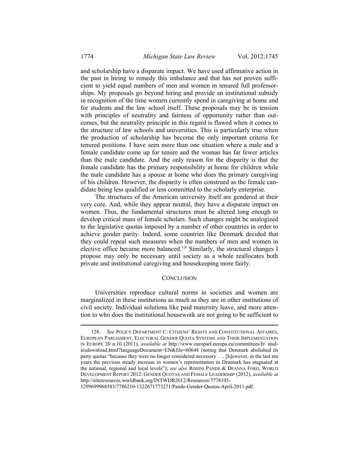and scholarship have a disparate impact. We have used affirmative action in the past in hiring to remedy this imbalance and that has not proven sufficient to yield equal numbers of men and women in tenured full professorships. My proposals go beyond hiring and provide an institutional subsidy in recognition of the time women currently spend in caregiving at home and for students and the law school itself. These proposals may be in tension with principles of neutrality and fairness of opportunity rather than outcomes, but the neutrality principle in this regard is flawed when it comes to the structure of law schools and universities. This is particularly true when the production of scholarship has become the only important criteria for tenured positions. I have seen more than one situation where a male and a female candidate come up for tenure and the woman has far fewer articles than the male candidate. And the only reason for the disparity is that the female candidate has the primary responsibility at home for children while the male candidate has a spouse at home who does the primary caregiving of his children. However, the disparity is often construed as the female candidate being less qualified or less committed to the scholarly enterprise.

The structures of the American university itself are gendered at their very core. And, while they appear neutral, they have a disparate impact on women. Thus, the fundamental structures must be altered long enough to develop critical mass of female scholars. Such changes might be analogized to the legislative quotas imposed by a number of other countries in order to achieve gender parity. Indeed, some countries like Denmark decided that they could repeal such measures when the numbers of men and women in elective office became more balanced.128 Similarly, the structural changes I propose may only be necessary until society as a whole reallocates both private and institutional caregiving and housekeeping more fairly.

#### **CONCLUSION**

Universities reproduce cultural norms in societies and women are marginalized in these institutions as much as they are in other institutions of civil society. Individual solutions like paid maternity leave, and more attention to who does the institutional housework are not going to be sufficient to

 <sup>128.</sup> *See* POLICY DEPARTMENT C: CITIZENS' RIGHTS AND CONSTITUTIONAL AFFAIRES, EUROPEAN PARLIAMENT, ELECTORAL GENDER QUOTA SYSTEMS AND THEIR IMPLEMENTATION IN EUROPE 20 n.10 (2011), *available at* http://www.europarl.europa.eu/committees/fr/ studiesdownload.html?languageDocument=EN&file=60648 (noting that Denmark abolished its party quotas "because they were no longer considered necessary . . . [h]owever, in the last ten years the previous steady increase in women's representation in Denmark has stagnated at the national, regional and local levels"); *see also* ROHINI PANDE & DEANNA FORD, WORLD DEVELOPMENT REPORT 2012: GENDER QUOTAS AND FEMALE LEADERSHIP (2012), *available at* http://siteresources.worldbank.org/INTWDR2012/Resources/7778105-

<sup>1299699968583/7786210-1322671773271/</sup>Pande-Gender-Quotas-April-2011.pdf.